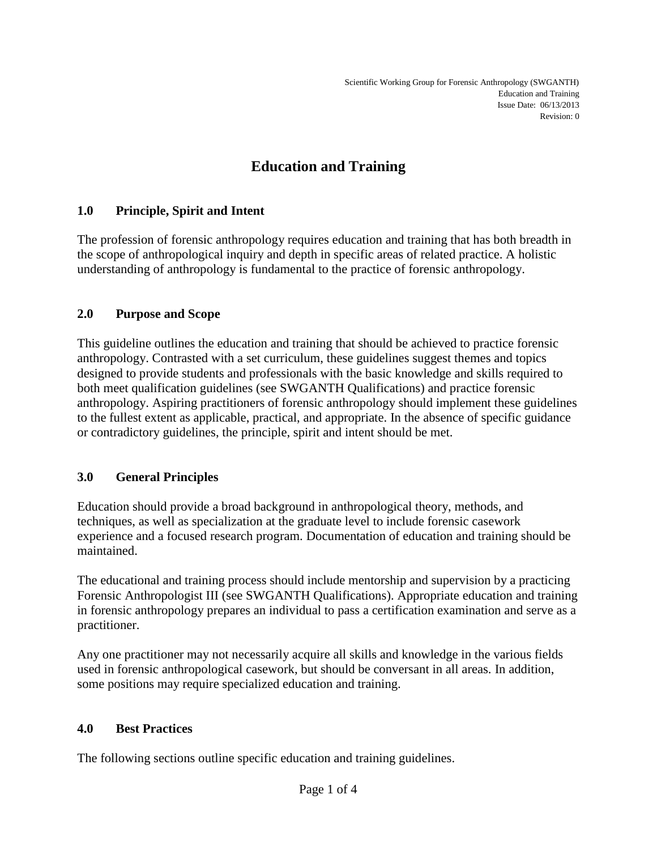# **Education and Training**

## **1.0 Principle, Spirit and Intent**

The profession of forensic anthropology requires education and training that has both breadth in the scope of anthropological inquiry and depth in specific areas of related practice. A holistic understanding of anthropology is fundamental to the practice of forensic anthropology.

## **2.0 Purpose and Scope**

This guideline outlines the education and training that should be achieved to practice forensic anthropology. Contrasted with a set curriculum, these guidelines suggest themes and topics designed to provide students and professionals with the basic knowledge and skills required to both meet qualification guidelines (see SWGANTH Qualifications) and practice forensic anthropology. Aspiring practitioners of forensic anthropology should implement these guidelines to the fullest extent as applicable, practical, and appropriate. In the absence of specific guidance or contradictory guidelines, the principle, spirit and intent should be met.

## **3.0 General Principles**

Education should provide a broad background in anthropological theory, methods, and techniques, as well as specialization at the graduate level to include forensic casework experience and a focused research program. Documentation of education and training should be maintained.

The educational and training process should include mentorship and supervision by a practicing Forensic Anthropologist III (see SWGANTH Qualifications). Appropriate education and training in forensic anthropology prepares an individual to pass a certification examination and serve as a practitioner.

Any one practitioner may not necessarily acquire all skills and knowledge in the various fields used in forensic anthropological casework, but should be conversant in all areas. In addition, some positions may require specialized education and training.

## **4.0 Best Practices**

The following sections outline specific education and training guidelines.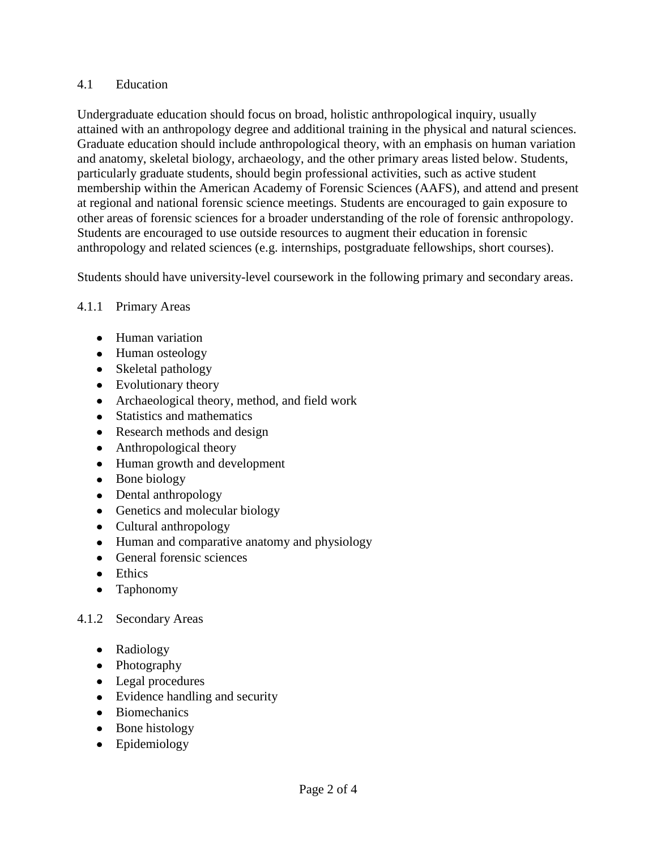#### 4.1 Education

Undergraduate education should focus on broad, holistic anthropological inquiry, usually attained with an anthropology degree and additional training in the physical and natural sciences. Graduate education should include anthropological theory, with an emphasis on human variation and anatomy, skeletal biology, archaeology, and the other primary areas listed below. Students, particularly graduate students, should begin professional activities, such as active student membership within the American Academy of Forensic Sciences (AAFS), and attend and present at regional and national forensic science meetings. Students are encouraged to gain exposure to other areas of forensic sciences for a broader understanding of the role of forensic anthropology. Students are encouraged to use outside resources to augment their education in forensic anthropology and related sciences (e.g. internships, postgraduate fellowships, short courses).

Students should have university-level coursework in the following primary and secondary areas.

## 4.1.1 Primary Areas

- Human variation
- Human osteology
- Skeletal pathology
- Evolutionary theory
- Archaeological theory, method, and field work
- Statistics and mathematics
- Research methods and design
- Anthropological theory
- Human growth and development
- Bone biology
- Dental anthropology
- Genetics and molecular biology
- Cultural anthropology
- Human and comparative anatomy and physiology
- General forensic sciences
- Ethics
- Taphonomy

## 4.1.2 Secondary Areas

- Radiology
- Photography
- Legal procedures
- Evidence handling and security
- Biomechanics
- Bone histology
- Epidemiology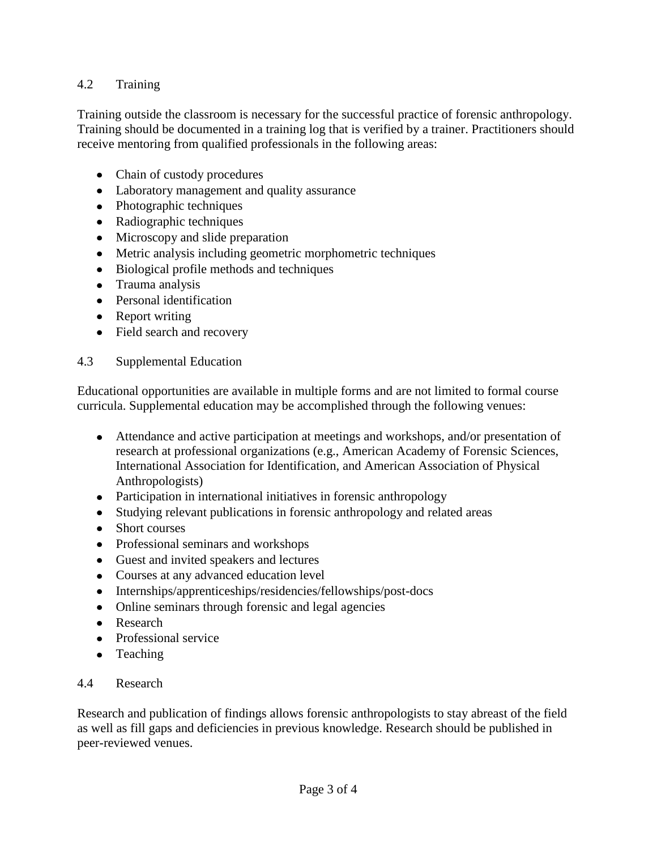## 4.2 Training

Training outside the classroom is necessary for the successful practice of forensic anthropology. Training should be documented in a training log that is verified by a trainer. Practitioners should receive mentoring from qualified professionals in the following areas:

- Chain of custody procedures
- Laboratory management and quality assurance
- Photographic techniques
- Radiographic techniques
- Microscopy and slide preparation
- Metric analysis including geometric morphometric techniques
- Biological profile methods and techniques
- Trauma analysis
- Personal identification
- Report writing
- Field search and recovery

## 4.3 Supplemental Education

Educational opportunities are available in multiple forms and are not limited to formal course curricula. Supplemental education may be accomplished through the following venues:

- Attendance and active participation at meetings and workshops, and/or presentation of research at professional organizations (e.g., American Academy of Forensic Sciences, International Association for Identification, and American Association of Physical Anthropologists)
- Participation in international initiatives in forensic anthropology
- Studying relevant publications in forensic anthropology and related areas
- Short courses
- Professional seminars and workshops
- Guest and invited speakers and lectures
- Courses at any advanced education level
- Internships/apprenticeships/residencies/fellowships/post-docs
- Online seminars through forensic and legal agencies
- Research
- Professional service
- Teaching  $\bullet$

## 4.4 Research

Research and publication of findings allows forensic anthropologists to stay abreast of the field as well as fill gaps and deficiencies in previous knowledge. Research should be published in peer-reviewed venues.